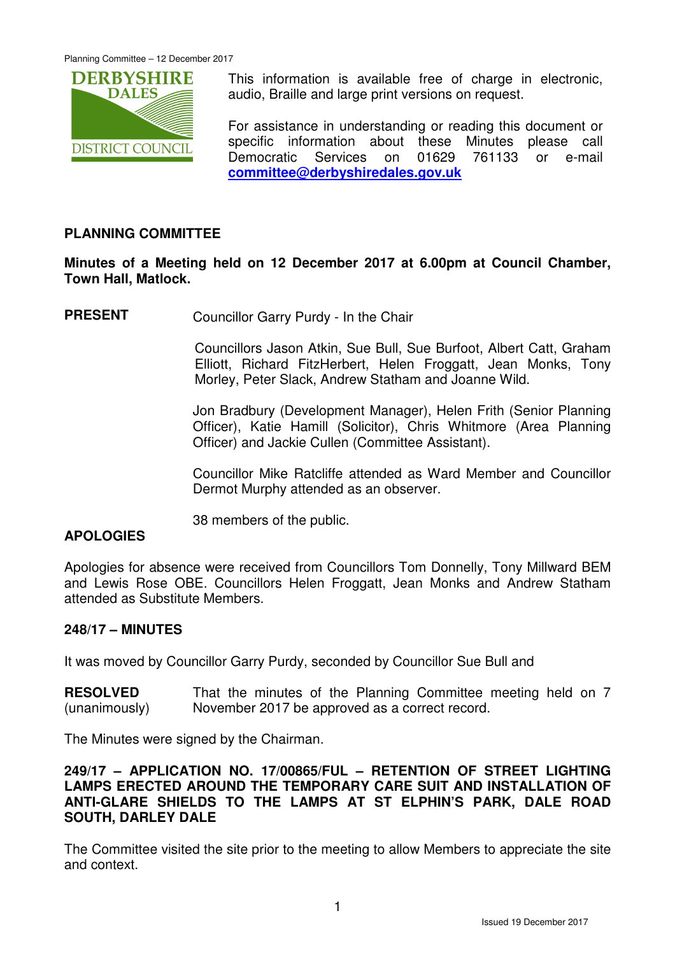

This information is available free of charge in electronic, audio, Braille and large print versions on request.

For assistance in understanding or reading this document or specific information about these Minutes please call Democratic Services on 01629 761133 or e-mail **committee@derbyshiredales.gov.uk**

# **PLANNING COMMITTEE**

# **Minutes of a Meeting held on 12 December 2017 at 6.00pm at Council Chamber, Town Hall, Matlock.**

**PRESENT** Councillor Garry Purdy - In the Chair

 Councillors Jason Atkin, Sue Bull, Sue Burfoot, Albert Catt, Graham Elliott, Richard FitzHerbert, Helen Froggatt, Jean Monks, Tony Morley, Peter Slack, Andrew Statham and Joanne Wild.

Jon Bradbury (Development Manager), Helen Frith (Senior Planning Officer), Katie Hamill (Solicitor), Chris Whitmore (Area Planning Officer) and Jackie Cullen (Committee Assistant).

Councillor Mike Ratcliffe attended as Ward Member and Councillor Dermot Murphy attended as an observer.

38 members of the public.

# **APOLOGIES**

Apologies for absence were received from Councillors Tom Donnelly, Tony Millward BEM and Lewis Rose OBE. Councillors Helen Froggatt, Jean Monks and Andrew Statham attended as Substitute Members.

### **248/17 – MINUTES**

It was moved by Councillor Garry Purdy, seconded by Councillor Sue Bull and

**RESOLVED** (unanimously) That the minutes of the Planning Committee meeting held on 7 November 2017 be approved as a correct record.

The Minutes were signed by the Chairman.

**249/17 – APPLICATION NO. 17/00865/FUL – RETENTION OF STREET LIGHTING LAMPS ERECTED AROUND THE TEMPORARY CARE SUIT AND INSTALLATION OF ANTI-GLARE SHIELDS TO THE LAMPS AT ST ELPHIN'S PARK, DALE ROAD SOUTH, DARLEY DALE** 

The Committee visited the site prior to the meeting to allow Members to appreciate the site and context.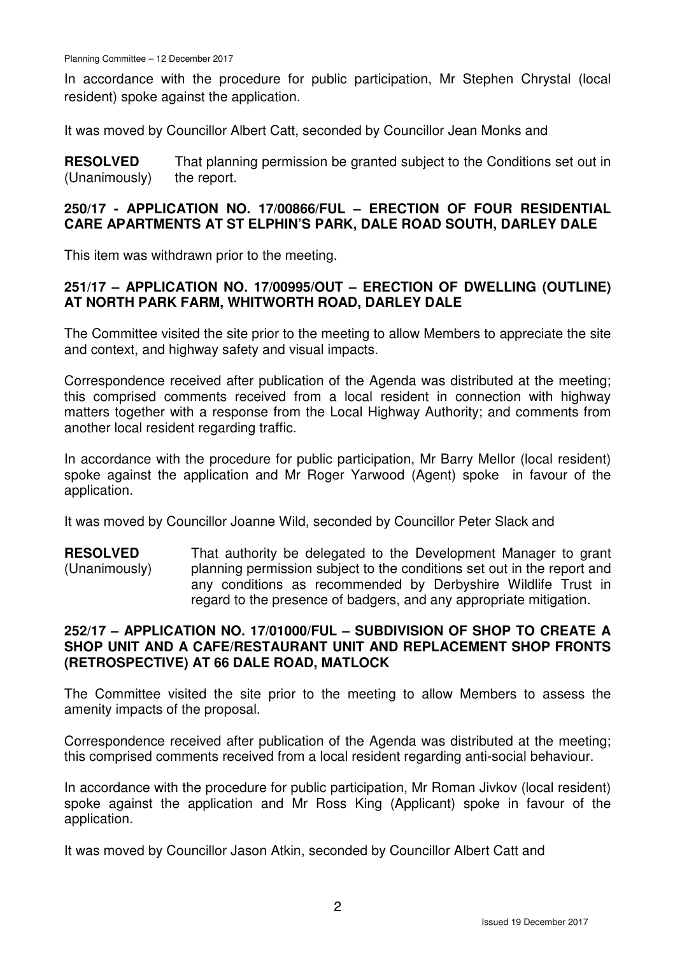Planning Committee – 12 December 2017

In accordance with the procedure for public participation, Mr Stephen Chrystal (local resident) spoke against the application.

It was moved by Councillor Albert Catt, seconded by Councillor Jean Monks and

**RESOLVED** (Unanimously) That planning permission be granted subject to the Conditions set out in the report.

#### **250/17 - APPLICATION NO. 17/00866/FUL – ERECTION OF FOUR RESIDENTIAL CARE APARTMENTS AT ST ELPHIN'S PARK, DALE ROAD SOUTH, DARLEY DALE**

This item was withdrawn prior to the meeting.

# **251/17 – APPLICATION NO. 17/00995/OUT – ERECTION OF DWELLING (OUTLINE) AT NORTH PARK FARM, WHITWORTH ROAD, DARLEY DALE**

The Committee visited the site prior to the meeting to allow Members to appreciate the site and context, and highway safety and visual impacts.

Correspondence received after publication of the Agenda was distributed at the meeting; this comprised comments received from a local resident in connection with highway matters together with a response from the Local Highway Authority; and comments from another local resident regarding traffic.

In accordance with the procedure for public participation, Mr Barry Mellor (local resident) spoke against the application and Mr Roger Yarwood (Agent) spoke in favour of the application.

It was moved by Councillor Joanne Wild, seconded by Councillor Peter Slack and

**RESOLVED** (Unanimously) That authority be delegated to the Development Manager to grant planning permission subject to the conditions set out in the report and any conditions as recommended by Derbyshire Wildlife Trust in regard to the presence of badgers, and any appropriate mitigation.

# **252/17 – APPLICATION NO. 17/01000/FUL – SUBDIVISION OF SHOP TO CREATE A SHOP UNIT AND A CAFE/RESTAURANT UNIT AND REPLACEMENT SHOP FRONTS (RETROSPECTIVE) AT 66 DALE ROAD, MATLOCK**

The Committee visited the site prior to the meeting to allow Members to assess the amenity impacts of the proposal.

Correspondence received after publication of the Agenda was distributed at the meeting; this comprised comments received from a local resident regarding anti-social behaviour.

In accordance with the procedure for public participation, Mr Roman Jivkov (local resident) spoke against the application and Mr Ross King (Applicant) spoke in favour of the application.

It was moved by Councillor Jason Atkin, seconded by Councillor Albert Catt and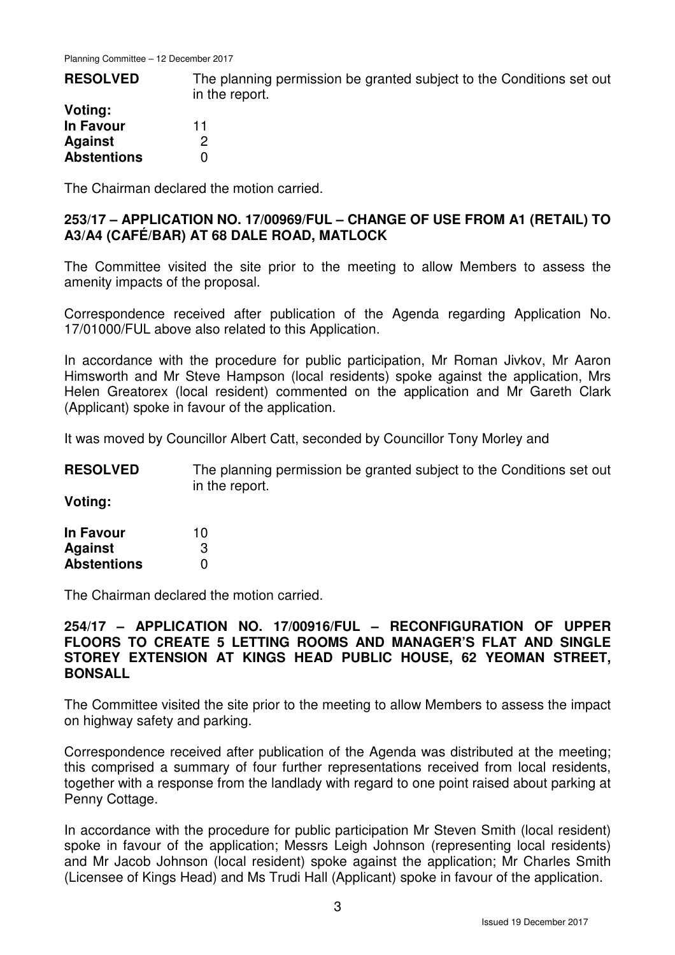| <b>RESOLVED</b>    | The planning permission be granted subject to the Conditions set out<br>in the report. |  |  |
|--------------------|----------------------------------------------------------------------------------------|--|--|
| Voting:            |                                                                                        |  |  |
| In Favour          |                                                                                        |  |  |
| <b>Against</b>     |                                                                                        |  |  |
| <b>Abstentions</b> |                                                                                        |  |  |

The Chairman declared the motion carried.

## **253/17 – APPLICATION NO. 17/00969/FUL – CHANGE OF USE FROM A1 (RETAIL) TO A3/A4 (CAFÉ/BAR) AT 68 DALE ROAD, MATLOCK**

The Committee visited the site prior to the meeting to allow Members to assess the amenity impacts of the proposal.

Correspondence received after publication of the Agenda regarding Application No. 17/01000/FUL above also related to this Application.

In accordance with the procedure for public participation, Mr Roman Jivkov, Mr Aaron Himsworth and Mr Steve Hampson (local residents) spoke against the application, Mrs Helen Greatorex (local resident) commented on the application and Mr Gareth Clark (Applicant) spoke in favour of the application.

It was moved by Councillor Albert Catt, seconded by Councillor Tony Morley and

**RESOLVED** The planning permission be granted subject to the Conditions set out in the report.

**Voting:** 

| <b>In Favour</b>   | 10 |
|--------------------|----|
| <b>Against</b>     | 3  |
| <b>Abstentions</b> | 0  |

The Chairman declared the motion carried.

#### **254/17 – APPLICATION NO. 17/00916/FUL – RECONFIGURATION OF UPPER FLOORS TO CREATE 5 LETTING ROOMS AND MANAGER'S FLAT AND SINGLE STOREY EXTENSION AT KINGS HEAD PUBLIC HOUSE, 62 YEOMAN STREET, BONSALL**

The Committee visited the site prior to the meeting to allow Members to assess the impact on highway safety and parking.

Correspondence received after publication of the Agenda was distributed at the meeting; this comprised a summary of four further representations received from local residents, together with a response from the landlady with regard to one point raised about parking at Penny Cottage.

In accordance with the procedure for public participation Mr Steven Smith (local resident) spoke in favour of the application; Messrs Leigh Johnson (representing local residents) and Mr Jacob Johnson (local resident) spoke against the application; Mr Charles Smith (Licensee of Kings Head) and Ms Trudi Hall (Applicant) spoke in favour of the application.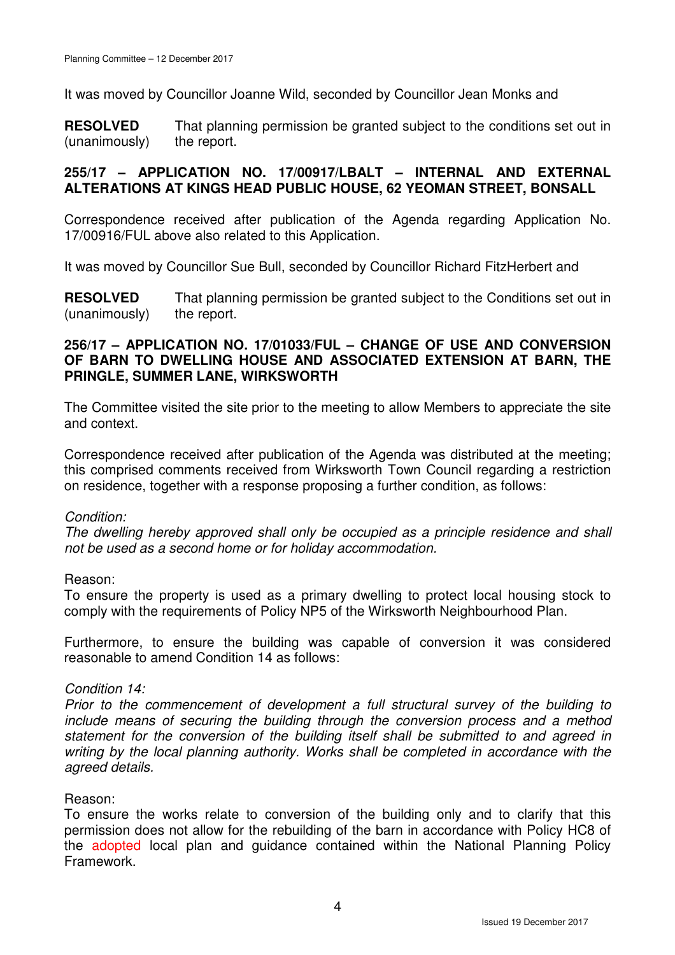It was moved by Councillor Joanne Wild, seconded by Councillor Jean Monks and

**RESOLVED** (unanimously) That planning permission be granted subject to the conditions set out in the report.

### **255/17 – APPLICATION NO. 17/00917/LBALT – INTERNAL AND EXTERNAL ALTERATIONS AT KINGS HEAD PUBLIC HOUSE, 62 YEOMAN STREET, BONSALL**

Correspondence received after publication of the Agenda regarding Application No. 17/00916/FUL above also related to this Application.

It was moved by Councillor Sue Bull, seconded by Councillor Richard FitzHerbert and

**RESOLVED** (unanimously) That planning permission be granted subject to the Conditions set out in the report.

#### **256/17 – APPLICATION NO. 17/01033/FUL – CHANGE OF USE AND CONVERSION OF BARN TO DWELLING HOUSE AND ASSOCIATED EXTENSION AT BARN, THE PRINGLE, SUMMER LANE, WIRKSWORTH**

The Committee visited the site prior to the meeting to allow Members to appreciate the site and context.

Correspondence received after publication of the Agenda was distributed at the meeting; this comprised comments received from Wirksworth Town Council regarding a restriction on residence, together with a response proposing a further condition, as follows:

### Condition:

The dwelling hereby approved shall only be occupied as a principle residence and shall not be used as a second home or for holiday accommodation.

### Reason:

To ensure the property is used as a primary dwelling to protect local housing stock to comply with the requirements of Policy NP5 of the Wirksworth Neighbourhood Plan.

Furthermore, to ensure the building was capable of conversion it was considered reasonable to amend Condition 14 as follows:

### Condition 14:

Prior to the commencement of development a full structural survey of the building to include means of securing the building through the conversion process and a method statement for the conversion of the building itself shall be submitted to and agreed in writing by the local planning authority. Works shall be completed in accordance with the agreed details.

### Reason:

To ensure the works relate to conversion of the building only and to clarify that this permission does not allow for the rebuilding of the barn in accordance with Policy HC8 of the adopted local plan and guidance contained within the National Planning Policy Framework.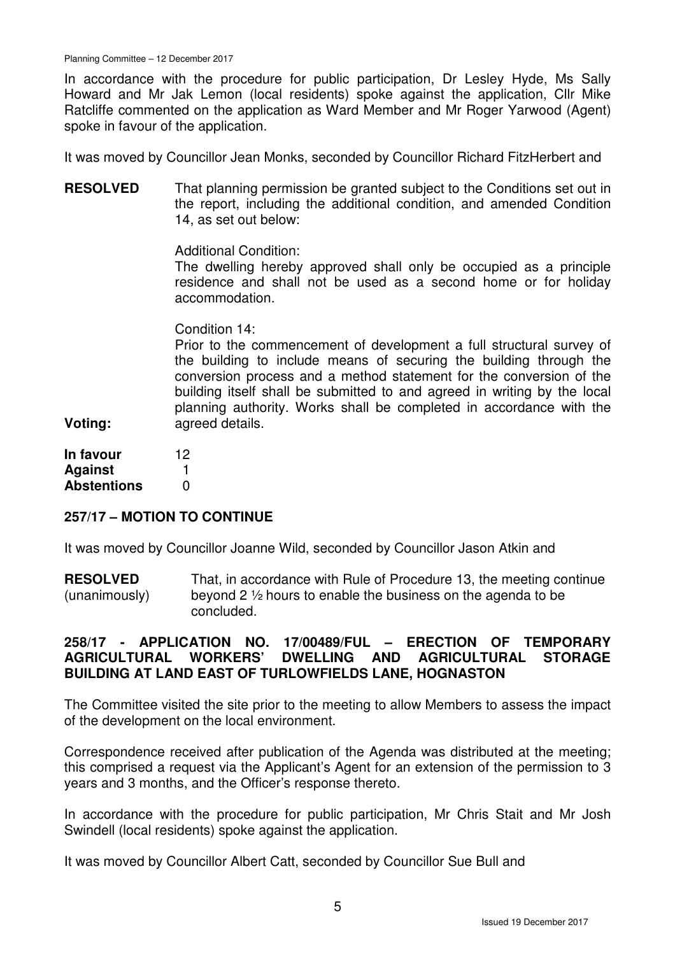In accordance with the procedure for public participation, Dr Lesley Hyde, Ms Sally Howard and Mr Jak Lemon (local residents) spoke against the application, Cllr Mike Ratcliffe commented on the application as Ward Member and Mr Roger Yarwood (Agent) spoke in favour of the application.

It was moved by Councillor Jean Monks, seconded by Councillor Richard FitzHerbert and

**RESOLVED** That planning permission be granted subject to the Conditions set out in the report, including the additional condition, and amended Condition 14, as set out below:

Additional Condition:

The dwelling hereby approved shall only be occupied as a principle residence and shall not be used as a second home or for holiday accommodation.

Condition 14:

Prior to the commencement of development a full structural survey of the building to include means of securing the building through the conversion process and a method statement for the conversion of the building itself shall be submitted to and agreed in writing by the local planning authority. Works shall be completed in accordance with the agreed details.

| In favour          | 12 |
|--------------------|----|
| <b>Against</b>     |    |
| <b>Abstentions</b> | O  |

**Voting:** 

### **257/17 – MOTION TO CONTINUE**

It was moved by Councillor Joanne Wild, seconded by Councillor Jason Atkin and

**RESOLVED** (unanimously) That, in accordance with Rule of Procedure 13, the meeting continue beyond 2 ½ hours to enable the business on the agenda to be concluded.

### **258/17 - APPLICATION NO. 17/00489/FUL – ERECTION OF TEMPORARY AGRICULTURAL WORKERS' DWELLING AND AGRICULTURAL STORAGE BUILDING AT LAND EAST OF TURLOWFIELDS LANE, HOGNASTON**

The Committee visited the site prior to the meeting to allow Members to assess the impact of the development on the local environment.

Correspondence received after publication of the Agenda was distributed at the meeting; this comprised a request via the Applicant's Agent for an extension of the permission to 3 years and 3 months, and the Officer's response thereto.

In accordance with the procedure for public participation, Mr Chris Stait and Mr Josh Swindell (local residents) spoke against the application.

It was moved by Councillor Albert Catt, seconded by Councillor Sue Bull and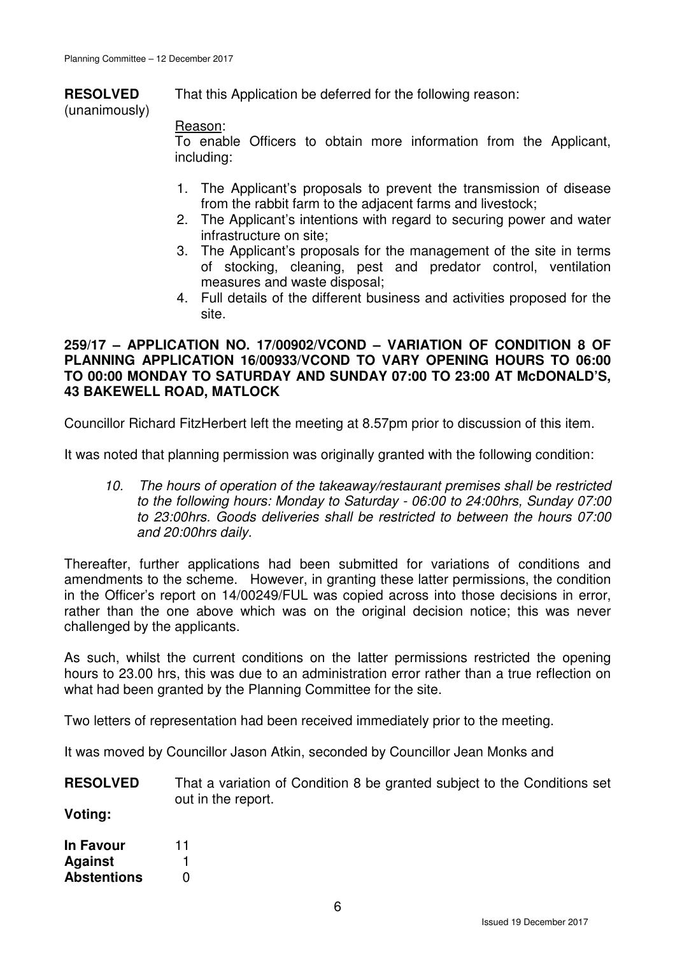**RESOLVED** (unanimously) That this Application be deferred for the following reason:

# Reason:

To enable Officers to obtain more information from the Applicant, including:

- 1. The Applicant's proposals to prevent the transmission of disease from the rabbit farm to the adjacent farms and livestock;
- 2. The Applicant's intentions with regard to securing power and water infrastructure on site;
- 3. The Applicant's proposals for the management of the site in terms of stocking, cleaning, pest and predator control, ventilation measures and waste disposal;
- 4. Full details of the different business and activities proposed for the site.

### **259/17 – APPLICATION NO. 17/00902/VCOND – VARIATION OF CONDITION 8 OF PLANNING APPLICATION 16/00933/VCOND TO VARY OPENING HOURS TO 06:00 TO 00:00 MONDAY TO SATURDAY AND SUNDAY 07:00 TO 23:00 AT McDONALD'S, 43 BAKEWELL ROAD, MATLOCK**

Councillor Richard FitzHerbert left the meeting at 8.57pm prior to discussion of this item.

It was noted that planning permission was originally granted with the following condition:

10. The hours of operation of the takeaway/restaurant premises shall be restricted to the following hours: Monday to Saturday - 06:00 to 24:00hrs, Sunday 07:00 to 23:00hrs. Goods deliveries shall be restricted to between the hours 07:00 and 20:00hrs daily.

Thereafter, further applications had been submitted for variations of conditions and amendments to the scheme. However, in granting these latter permissions, the condition in the Officer's report on 14/00249/FUL was copied across into those decisions in error, rather than the one above which was on the original decision notice; this was never challenged by the applicants.

As such, whilst the current conditions on the latter permissions restricted the opening hours to 23.00 hrs, this was due to an administration error rather than a true reflection on what had been granted by the Planning Committee for the site.

Two letters of representation had been received immediately prior to the meeting.

It was moved by Councillor Jason Atkin, seconded by Councillor Jean Monks and

**RESOLVED** That a variation of Condition 8 be granted subject to the Conditions set out in the report.

**Voting:** 

| <b>In Favour</b>   | 11 |
|--------------------|----|
| <b>Against</b>     |    |
| <b>Abstentions</b> | O  |